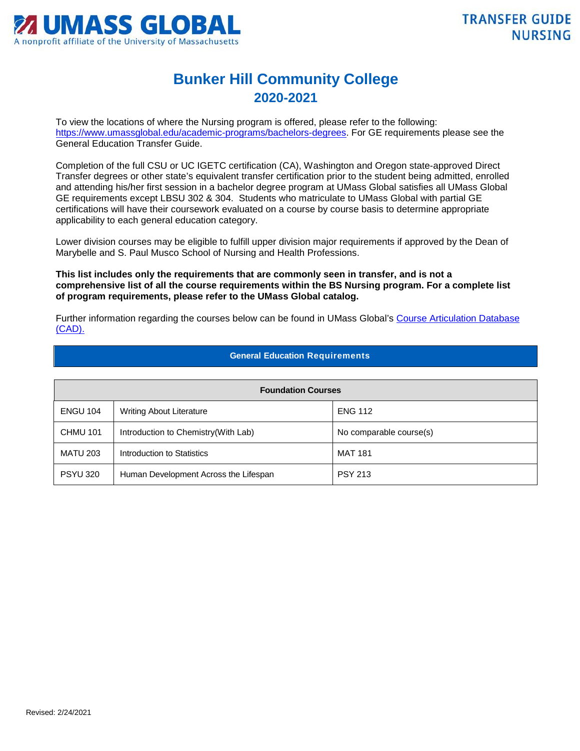

## **Bunker Hill Community College 2020-2021**

To view the locations of where the Nursing program is offered, please refer to the following: [https://www.umassglobal.edu/academic-programs/bachelors-degrees.](https://www.umassglobal.edu/academic-programs/bachelors-degrees) For GE requirements please see the General Education Transfer Guide.

Completion of the full CSU or UC IGETC certification (CA), Washington and Oregon state-approved Direct Transfer degrees or other state's equivalent transfer certification prior to the student being admitted, enrolled and attending his/her first session in a bachelor degree program at UMass Global satisfies all UMass Global GE requirements except LBSU 302 & 304. Students who matriculate to UMass Global with partial GE certifications will have their coursework evaluated on a course by course basis to determine appropriate applicability to each general education category.

Lower division courses may be eligible to fulfill upper division major requirements if approved by the Dean of Marybelle and S. Paul Musco School of Nursing and Health Professions.

**This list includes only the requirements that are commonly seen in transfer, and is not a comprehensive list of all the course requirements within the BS Nursing program. For a complete list of program requirements, please refer to the UMass Global catalog.**

Further information regarding the courses below can be found in UMass Global's [Course Articulation Database](http://services.umassglobal.edu/studentservices/TransferCredit/)  [\(CAD\).](http://services.umassglobal.edu/studentservices/TransferCredit/) 

## **General Education Requirements**

| <b>Foundation Courses</b> |                                       |                         |  |
|---------------------------|---------------------------------------|-------------------------|--|
| <b>ENGU 104</b>           | <b>Writing About Literature</b>       | <b>ENG 112</b>          |  |
| <b>CHMU 101</b>           | Introduction to Chemistry (With Lab)  | No comparable course(s) |  |
| <b>MATU 203</b>           | Introduction to Statistics            | MAT 181                 |  |
| <b>PSYU 320</b>           | Human Development Across the Lifespan | <b>PSY 213</b>          |  |